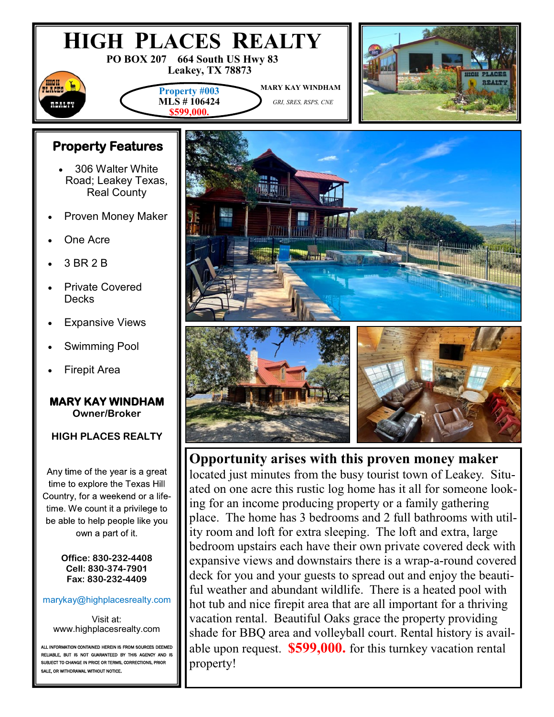

# **Property Features**

- 306 Walter White Road; Leakey Texas, Real County
- Proven Money Maker
- One Acre
- 3 BR 2 B
- Private Covered **Decks**
- **Expansive Views**
- Swimming Pool
- Firepit Area

### **MARY KAY WINDHAM Owner/Broker**

## **HIGH PLACES REALTY**

Any time of the year is a great time to explore the Texas Hill Country, for a weekend or a lifetime. We count it a privilege to be able to help people like you own a part of it.

> **Office: 830-232-4408 Cell: 830-374-7901 Fax: 830-232-4409**

#### marykay@highplacesrealty.com

Visit at: www.highplacesrealty.com

ALL INFORMATION CONTAINED HEREIN IS FROM SOURCES DEEMED RELIABLE, BUT IS NOT GUARANTEED BY THIS AGENCY AND IS SUBJECT TO CHANGE IN PRICE OR TERMS, CORRECTIONS, PRIOR SALE, OR WITHDRAWAL WITHOUT NOTICE.



## **Opportunity arises with this proven money maker** located just minutes from the busy tourist town of Leakey. Situated on one acre this rustic log home has it all for someone looking for an income producing property or a family gathering place. The home has 3 bedrooms and 2 full bathrooms with utility room and loft for extra sleeping. The loft and extra, large bedroom upstairs each have their own private covered deck with expansive views and downstairs there is a wrap-a-round covered deck for you and your guests to spread out and enjoy the beautiful weather and abundant wildlife. There is a heated pool with hot tub and nice firepit area that are all important for a thriving vacation rental. Beautiful Oaks grace the property providing shade for BBQ area and volleyball court. Rental history is available upon request. **\$599,000.** for this turnkey vacation rental property!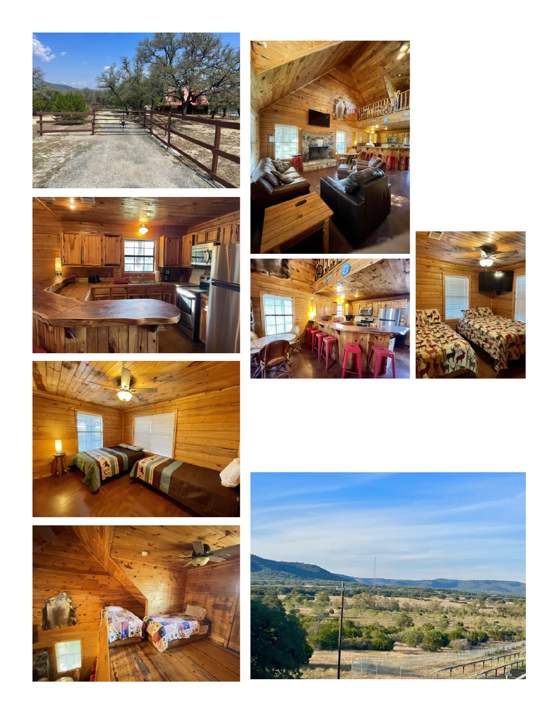